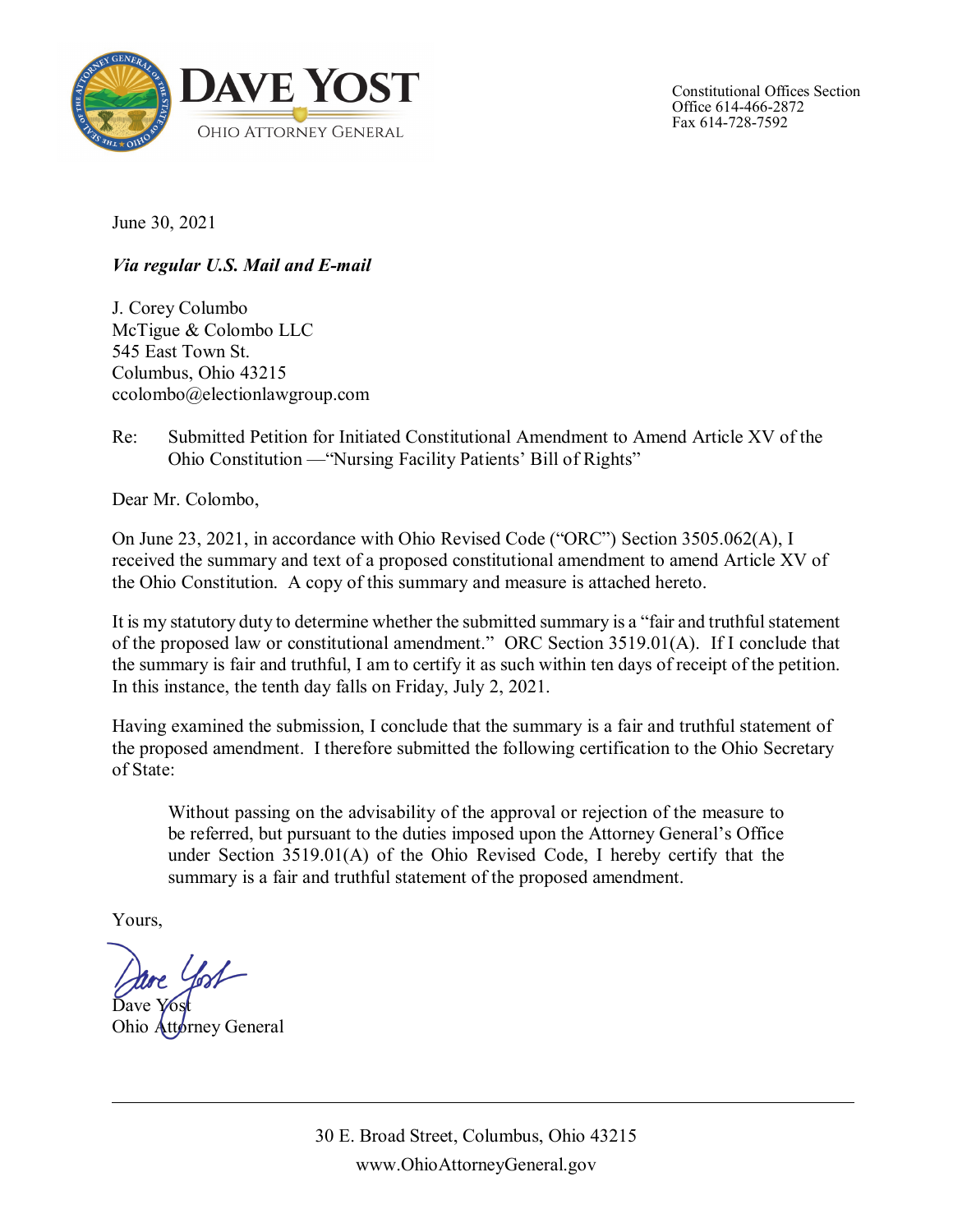

Constitutional Offices Section Office 614-466-2872 Fax 614-728-7592

June 30, 2021

*Via regular U.S. Mail and E-mail*

J. Corey Columbo McTigue & Colombo LLC 545 East Town St. Columbus, Ohio 43215 ccolombo@electionlawgroup.com

Re: Submitted Petition for Initiated Constitutional Amendment to Amend Article XV of the Ohio Constitution —"Nursing Facility Patients' Bill of Rights"

Dear Mr. Colombo,

On June 23, 2021, in accordance with Ohio Revised Code ("ORC") Section 3505.062(A), I received the summary and text of a proposed constitutional amendment to amend Article XV of the Ohio Constitution. A copy of this summary and measure is attached hereto.

It is my statutory duty to determine whether the submitted summary is a "fair and truthful statement of the proposed law or constitutional amendment." ORC Section 3519.01(A). If I conclude that the summary is fair and truthful, I am to certify it as such within ten days of receipt of the petition. In this instance, the tenth day falls on Friday, July 2, 2021.

Having examined the submission, I conclude that the summary is a fair and truthful statement of the proposed amendment. I therefore submitted the following certification to the Ohio Secretary of State:

Without passing on the advisability of the approval or rejection of the measure to be referred, but pursuant to the duties imposed upon the Attorney General's Office under Section 3519.01(A) of the Ohio Revised Code, I hereby certify that the summary is a fair and truthful statement of the proposed amendment.

Yours,

Dave Yost Ohio Attorney General

30 E. Broad Street, Columbus, Ohio 43215 www.OhioAttorneyGeneral.gov